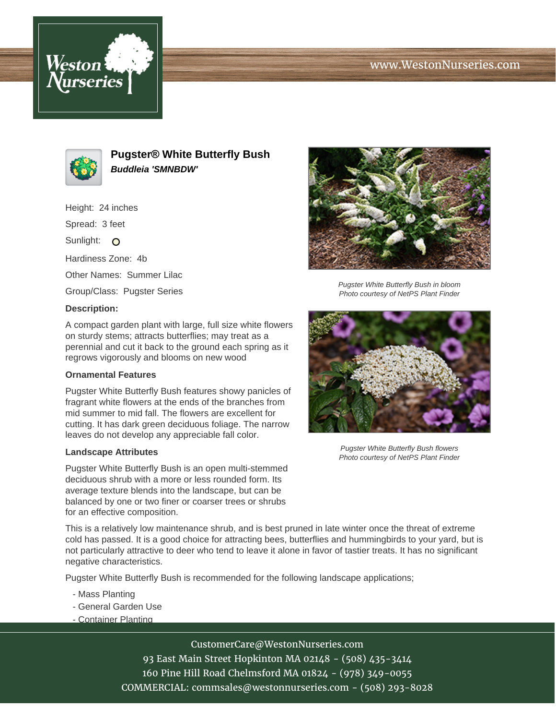# www.WestonNurseries.com





**Pugster® White Butterfly Bush Buddleia 'SMNBDW'**

Height: 24 inches Spread: 3 feet Sunlight: O Hardiness Zone: 4b Other Names: Summer Lilac Group/Class: Pugster Series

#### **Description:**

A compact garden plant with large, full size white flowers on sturdy stems; attracts butterflies; may treat as a perennial and cut it back to the ground each spring as it regrows vigorously and blooms on new wood

#### **Ornamental Features**

Pugster White Butterfly Bush features showy panicles of fragrant white flowers at the ends of the branches from mid summer to mid fall. The flowers are excellent for cutting. It has dark green deciduous foliage. The narrow leaves do not develop any appreciable fall color.

### **Landscape Attributes**

Pugster White Butterfly Bush is an open multi-stemmed deciduous shrub with a more or less rounded form. Its average texture blends into the landscape, but can be balanced by one or two finer or coarser trees or shrubs for an effective composition.

Pugster White Butterfly Bush in bloom Photo courtesy of NetPS Plant Finder



Pugster White Butterfly Bush flowers Photo courtesy of NetPS Plant Finder

This is a relatively low maintenance shrub, and is best pruned in late winter once the threat of extreme cold has passed. It is a good choice for attracting bees, butterflies and hummingbirds to your yard, but is not particularly attractive to deer who tend to leave it alone in favor of tastier treats. It has no significant negative characteristics.

Pugster White Butterfly Bush is recommended for the following landscape applications;

- Mass Planting
- General Garden Use
- Container Planting

CustomerCare@WestonNurseries.com 93 East Main Street Hopkinton MA 02148 - (508) 435-3414 160 Pine Hill Road Chelmsford MA 01824 - (978) 349-0055 COMMERCIAL: commsales@westonnurseries.com - (508) 293-8028